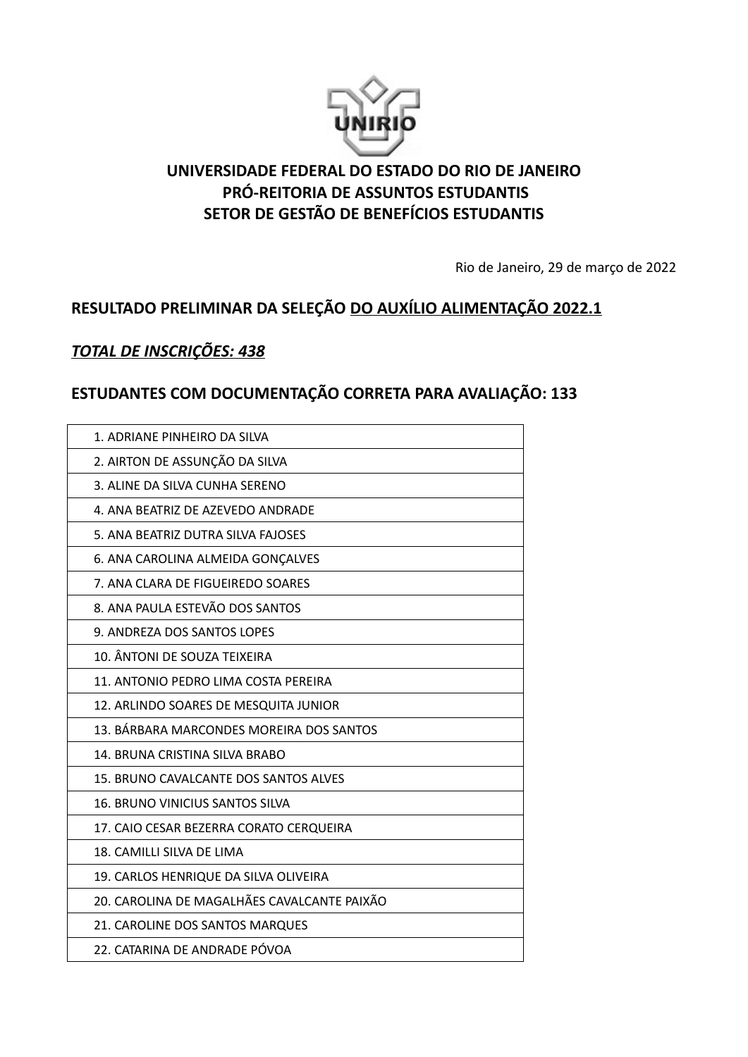

## **UNIVERSIDADE FEDERAL DO ESTADO DO RIO DE JANEIRO PRÓ-REITORIA DE ASSUNTOS ESTUDANTIS SETOR DE GESTÃO DE BENEFÍCIOS ESTUDANTIS**

Rio de Janeiro, 29 de março de 2022

## **RESULTADO PRELIMINAR DA SELEÇÃO DO AUXÍLIO ALIMENTAÇÃO 2022.1**

### *TOTAL DE INSCRIÇÕES: 438*

## **ESTUDANTES COM DOCUMENTAÇÃO CORRETA PARA AVALIAÇÃO: 133**

| 1. ADRIANE PINHEIRO DA SILVA                |
|---------------------------------------------|
| 2. AIRTON DE ASSUNÇÃO DA SILVA              |
| 3. ALINE DA SILVA CUNHA SERENO              |
| 4. ANA BEATRIZ DE AZEVEDO ANDRADE           |
| 5. ANA BEATRIZ DUTRA SILVA FAJOSES          |
| 6. ANA CAROLINA ALMEIDA GONÇALVES           |
| 7. ANA CLARA DE FIGUEIREDO SOARES           |
| 8. ANA PAULA ESTEVÃO DOS SANTOS             |
| 9. ANDREZA DOS SANTOS LOPES                 |
| 10. ÂNTONI DE SOUZA TEIXEIRA                |
| 11. ANTONIO PEDRO LIMA COSTA PEREIRA        |
| 12. ARLINDO SOARES DE MESQUITA JUNIOR       |
| 13. BÁRBARA MARCONDES MOREIRA DOS SANTOS    |
| 14. BRUNA CRISTINA SILVA BRABO              |
| 15. BRUNO CAVALCANTE DOS SANTOS ALVES       |
| <b>16. BRUNO VINICIUS SANTOS SILVA</b>      |
| 17. CAIO CESAR BEZERRA CORATO CERQUEIRA     |
| 18. CAMILLI SILVA DE LIMA                   |
| 19. CARLOS HENRIQUE DA SILVA OLIVEIRA       |
| 20. CAROLINA DE MAGALHÃES CAVALCANTE PAIXÃO |
| 21. CAROLINE DOS SANTOS MARQUES             |
| 22. CATARINA DE ANDRADE PÓVOA               |
|                                             |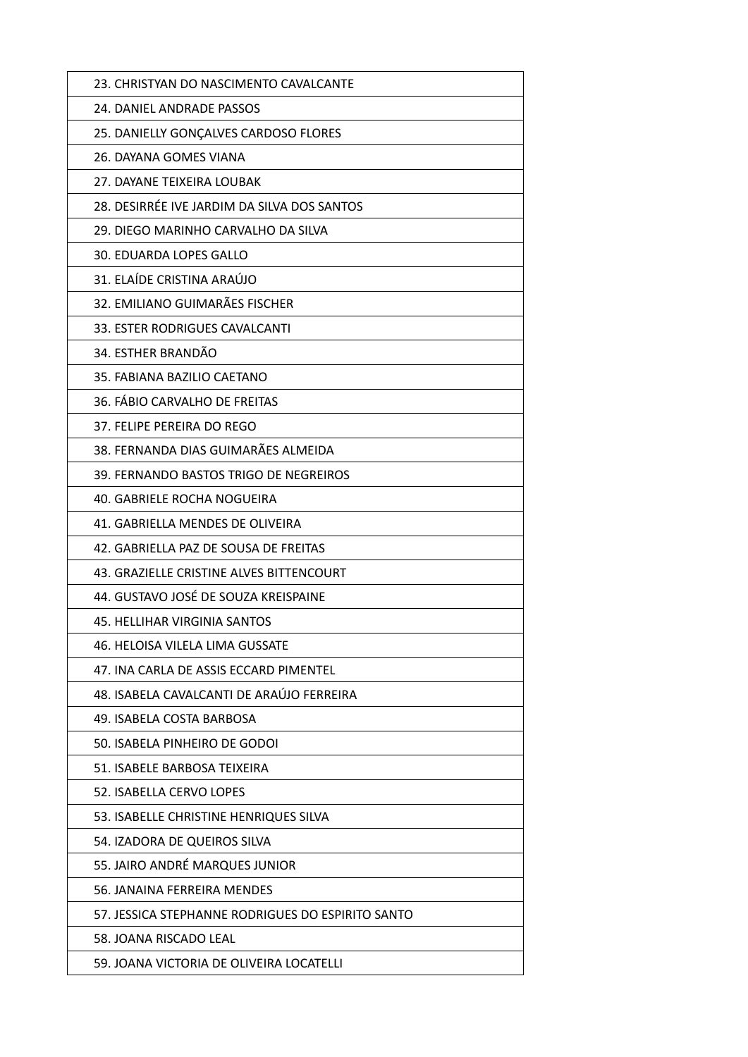| 23. CHRISTYAN DO NASCIMENTO CAVALCANTE            |
|---------------------------------------------------|
| 24. DANIEL ANDRADE PASSOS                         |
| 25. DANIELLY GONÇALVES CARDOSO FLORES             |
| 26. DAYANA GOMES VIANA                            |
| 27. DAYANE TEIXEIRA LOUBAK                        |
| 28. DESIRRÉE IVE JARDIM DA SILVA DOS SANTOS       |
| 29. DIEGO MARINHO CARVALHO DA SILVA               |
| 30. EDUARDA LOPES GALLO                           |
| 31. ELAÍDE CRISTINA ARAÚJO                        |
| 32. EMILIANO GUIMARÃES FISCHER                    |
| 33. ESTER RODRIGUES CAVALCANTI                    |
| 34. ESTHER BRANDÃO                                |
| 35. FABIANA BAZILIO CAETANO                       |
| 36. FÁBIO CARVALHO DE FREITAS                     |
| 37. FELIPE PEREIRA DO REGO                        |
| 38. FERNANDA DIAS GUIMARÃES ALMEIDA               |
| 39. FERNANDO BASTOS TRIGO DE NEGREIROS            |
| 40. GABRIELE ROCHA NOGUEIRA                       |
| 41. GABRIELLA MENDES DE OLIVEIRA                  |
| 42. GABRIELLA PAZ DE SOUSA DE FREITAS             |
| 43. GRAZIELLE CRISTINE ALVES BITTENCOURT          |
| 44. GUSTAVO JOSÉ DE SOUZA KREISPAINE              |
| 45. HELLIHAR VIRGINIA SANTOS                      |
| 46. HELOISA VILELA LIMA GUSSATE                   |
| 47. INA CARLA DE ASSIS ECCARD PIMENTEL            |
| 48. ISABELA CAVALCANTI DE ARAÚJO FERREIRA         |
| 49. ISABELA COSTA BARBOSA                         |
| 50. ISABELA PINHEIRO DE GODOI                     |
| 51. ISABELE BARBOSA TEIXEIRA                      |
| 52. ISABELLA CERVO LOPES                          |
| 53. ISABELLE CHRISTINE HENRIQUES SILVA            |
| 54. IZADORA DE QUEIROS SILVA                      |
| 55. JAIRO ANDRÉ MARQUES JUNIOR                    |
| 56. JANAINA FERREIRA MENDES                       |
| 57. JESSICA STEPHANNE RODRIGUES DO ESPIRITO SANTO |
| 58. JOANA RISCADO LEAL                            |
| 59. JOANA VICTORIA DE OLIVEIRA LOCATELLI          |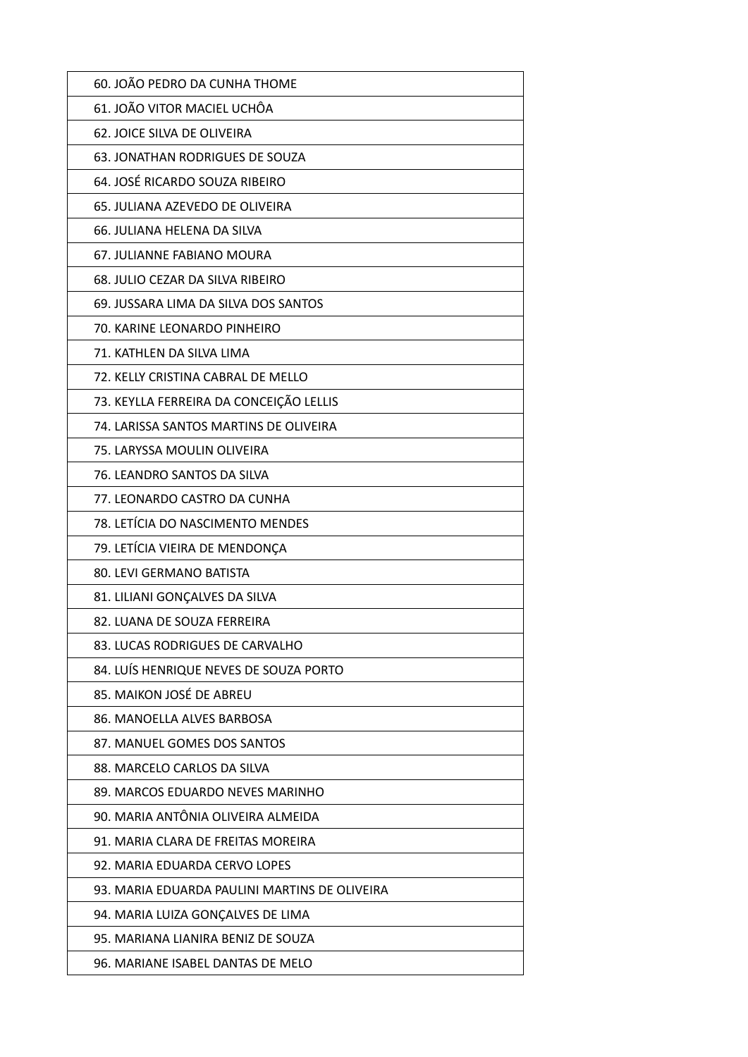| 60. JOÃO PEDRO DA CUNHA THOME                 |
|-----------------------------------------------|
| 61. JOÃO VITOR MACIEL UCHÔA                   |
| 62. JOICE SILVA DE OLIVEIRA                   |
| 63. JONATHAN RODRIGUES DE SOUZA               |
| 64. JOSÉ RICARDO SOUZA RIBEIRO                |
| 65. JULIANA AZEVEDO DE OLIVEIRA               |
| 66. JULIANA HELENA DA SILVA                   |
| 67. JULIANNE FABIANO MOURA                    |
| 68. JULIO CEZAR DA SILVA RIBEIRO              |
| 69. JUSSARA LIMA DA SILVA DOS SANTOS          |
| 70. KARINE LEONARDO PINHEIRO                  |
| 71. KATHLEN DA SILVA LIMA                     |
| 72. KELLY CRISTINA CABRAL DE MELLO            |
| 73. KEYLLA FERREIRA DA CONCEIÇÃO LELLIS       |
| 74. LARISSA SANTOS MARTINS DE OLIVEIRA        |
| 75. LARYSSA MOULIN OLIVEIRA                   |
| 76. LEANDRO SANTOS DA SILVA                   |
| 77. LEONARDO CASTRO DA CUNHA                  |
| 78. LETÍCIA DO NASCIMENTO MENDES              |
| 79. LETÍCIA VIEIRA DE MENDONÇA                |
| 80. LEVI GERMANO BATISTA                      |
| 81. LILIANI GONÇALVES DA SILVA                |
| 82. LUANA DE SOUZA FERREIRA                   |
| 83. LUCAS RODRIGUES DE CARVALHO               |
| 84. LUÍS HENRIQUE NEVES DE SOUZA PORTO        |
| 85. MAIKON JOSÉ DE ABREU                      |
| 86. MANOELLA ALVES BARBOSA                    |
| 87. MANUEL GOMES DOS SANTOS                   |
| 88. MARCELO CARLOS DA SILVA                   |
| 89. MARCOS EDUARDO NEVES MARINHO              |
| 90. MARIA ANTÔNIA OLIVEIRA ALMEIDA            |
| 91. MARIA CLARA DE FREITAS MOREIRA            |
| 92. MARIA EDUARDA CERVO LOPES                 |
| 93. MARIA EDUARDA PAULINI MARTINS DE OLIVEIRA |
| 94. MARIA LUIZA GONÇALVES DE LIMA             |
| 95. MARIANA LIANIRA BENIZ DE SOUZA            |
| 96. MARIANE ISABEL DANTAS DE MELO             |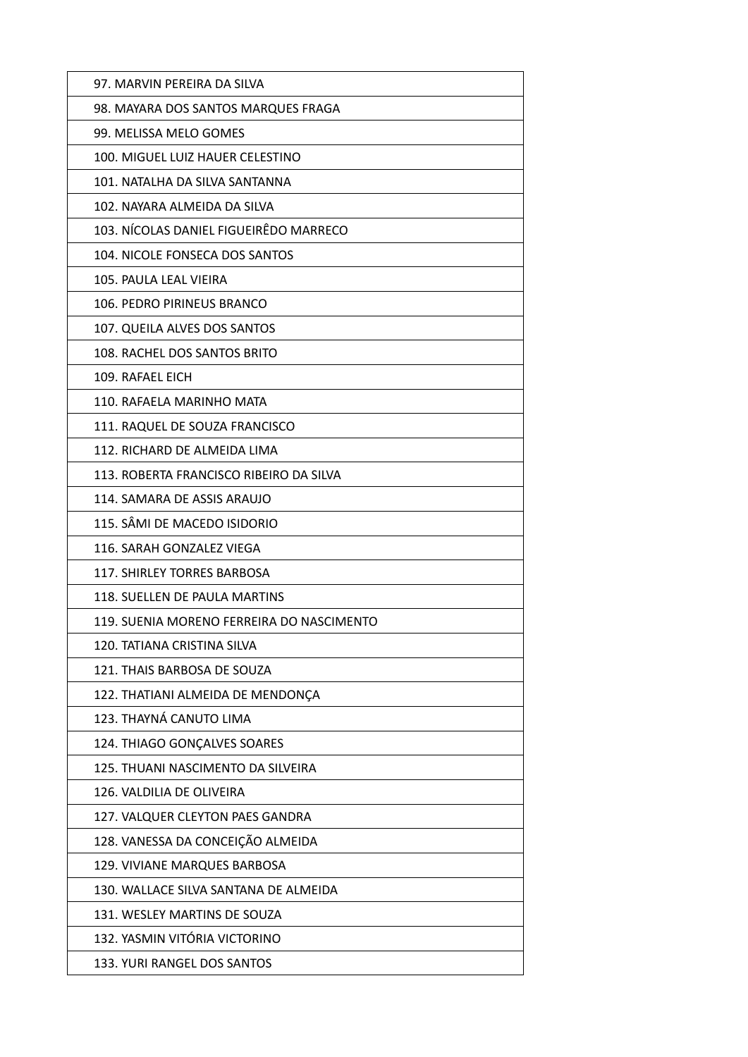| 97. MARVIN PEREIRA DA SILVA               |
|-------------------------------------------|
| 98. MAYARA DOS SANTOS MARQUES FRAGA       |
| 99. MELISSA MELO GOMES                    |
| 100. MIGUEL LUIZ HAUER CELESTINO          |
| 101. NATALHA DA SILVA SANTANNA            |
| 102. NAYARA ALMEIDA DA SILVA              |
| 103. NÍCOLAS DANIEL FIGUEIRÊDO MARRECO    |
| 104. NICOLE FONSECA DOS SANTOS            |
| 105. PAULA LEAL VIEIRA                    |
| 106. PEDRO PIRINEUS BRANCO                |
| 107. QUEILA ALVES DOS SANTOS              |
| 108. RACHEL DOS SANTOS BRITO              |
| 109. RAFAEL FICH                          |
| 110. RAFAELA MARINHO MATA                 |
| 111. RAQUEL DE SOUZA FRANCISCO            |
| 112. RICHARD DE ALMEIDA LIMA              |
| 113. ROBERTA FRANCISCO RIBEIRO DA SILVA   |
| 114. SAMARA DE ASSIS ARAUJO               |
| 115. SÂMI DE MACEDO ISIDORIO              |
| 116. SARAH GONZALEZ VIEGA                 |
| <b>117. SHIRLEY TORRES BARBOSA</b>        |
| 118. SUELLEN DE PAULA MARTINS             |
| 119. SUENIA MORENO FERREIRA DO NASCIMENTO |
| 120. TATIANA CRISTINA SILVA               |
| 121. THAIS BARBOSA DE SOUZA               |
| 122. THATIANI ALMEIDA DE MENDONÇA         |
| 123. THAYNÁ CANUTO LIMA                   |
| 124. THIAGO GONÇALVES SOARES              |
| 125. THUANI NASCIMENTO DA SILVEIRA        |
| 126. VALDILIA DE OLIVEIRA                 |
| 127. VALQUER CLEYTON PAES GANDRA          |
| 128. VANESSA DA CONCEIÇÃO ALMEIDA         |
| 129. VIVIANE MARQUES BARBOSA              |
| 130. WALLACE SILVA SANTANA DE ALMEIDA     |
| 131. WESLEY MARTINS DE SOUZA              |
| 132. YASMIN VITÓRIA VICTORINO             |
| 133. YURI RANGEL DOS SANTOS               |
|                                           |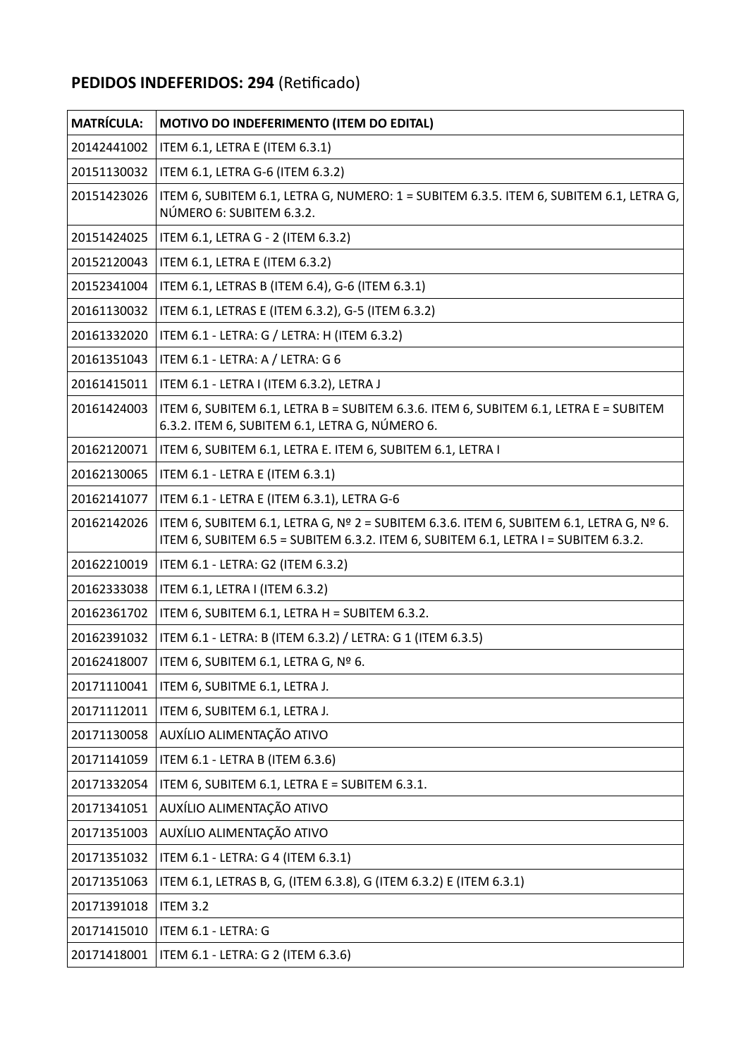# **PEDIDOS INDEFERIDOS: 294** (Retificado)

| <b>MATRÍCULA:</b> | MOTIVO DO INDEFERIMENTO (ITEM DO EDITAL)                                                                                                                                                        |
|-------------------|-------------------------------------------------------------------------------------------------------------------------------------------------------------------------------------------------|
| 20142441002       | ITEM 6.1, LETRA E (ITEM 6.3.1)                                                                                                                                                                  |
| 20151130032       | ITEM 6.1, LETRA G-6 (ITEM 6.3.2)                                                                                                                                                                |
| 20151423026       | ITEM 6, SUBITEM 6.1, LETRA G, NUMERO: 1 = SUBITEM 6.3.5. ITEM 6, SUBITEM 6.1, LETRA G,<br>NÚMERO 6: SUBITEM 6.3.2.                                                                              |
| 20151424025       | ITEM 6.1, LETRA G - 2 (ITEM 6.3.2)                                                                                                                                                              |
| 20152120043       | ITEM 6.1, LETRA E (ITEM 6.3.2)                                                                                                                                                                  |
| 20152341004       | ITEM 6.1, LETRAS B (ITEM 6.4), G-6 (ITEM 6.3.1)                                                                                                                                                 |
| 20161130032       | ITEM 6.1, LETRAS E (ITEM 6.3.2), G-5 (ITEM 6.3.2)                                                                                                                                               |
| 20161332020       | ITEM 6.1 - LETRA: G / LETRA: H (ITEM 6.3.2)                                                                                                                                                     |
| 20161351043       | ITEM 6.1 - LETRA: A / LETRA: G 6                                                                                                                                                                |
| 20161415011       | ITEM 6.1 - LETRA I (ITEM 6.3.2), LETRA J                                                                                                                                                        |
| 20161424003       | ITEM 6, SUBITEM 6.1, LETRA B = SUBITEM 6.3.6. ITEM 6, SUBITEM 6.1, LETRA E = SUBITEM<br>6.3.2. ITEM 6, SUBITEM 6.1, LETRA G, NÚMERO 6.                                                          |
| 20162120071       | ITEM 6, SUBITEM 6.1, LETRA E. ITEM 6, SUBITEM 6.1, LETRA I                                                                                                                                      |
| 20162130065       | ITEM 6.1 - LETRA E (ITEM 6.3.1)                                                                                                                                                                 |
| 20162141077       | ITEM 6.1 - LETRA E (ITEM 6.3.1), LETRA G-6                                                                                                                                                      |
| 20162142026       | ITEM 6, SUBITEM 6.1, LETRA G, $N^{\circ}$ 2 = SUBITEM 6.3.6. ITEM 6, SUBITEM 6.1, LETRA G, $N^{\circ}$ 6.<br>ITEM 6, SUBITEM 6.5 = SUBITEM 6.3.2. ITEM 6, SUBITEM 6.1, LETRA I = SUBITEM 6.3.2. |
| 20162210019       | ITEM 6.1 - LETRA: G2 (ITEM 6.3.2)                                                                                                                                                               |
| 20162333038       | ITEM 6.1, LETRA I (ITEM 6.3.2)                                                                                                                                                                  |
| 20162361702       | ITEM 6, SUBITEM 6.1, LETRA H = SUBITEM 6.3.2.                                                                                                                                                   |
| 20162391032       | ITEM 6.1 - LETRA: B (ITEM 6.3.2) / LETRA: G 1 (ITEM 6.3.5)                                                                                                                                      |
| 20162418007       | ITEM 6, SUBITEM 6.1, LETRA G, Nº 6.                                                                                                                                                             |
| 20171110041       | ITEM 6, SUBITME 6.1, LETRA J.                                                                                                                                                                   |
| 20171112011       | ITEM 6, SUBITEM 6.1, LETRA J.                                                                                                                                                                   |
| 20171130058       | AUXÍLIO ALIMENTAÇÃO ATIVO                                                                                                                                                                       |
| 20171141059       | ITEM 6.1 - LETRA B (ITEM 6.3.6)                                                                                                                                                                 |
| 20171332054       | ITEM 6, SUBITEM 6.1, LETRA E = SUBITEM 6.3.1.                                                                                                                                                   |
| 20171341051       | AUXÍLIO ALIMENTAÇÃO ATIVO                                                                                                                                                                       |
| 20171351003       | AUXÍLIO ALIMENTAÇÃO ATIVO                                                                                                                                                                       |
| 20171351032       | ITEM 6.1 - LETRA: G 4 (ITEM 6.3.1)                                                                                                                                                              |
| 20171351063       | ITEM 6.1, LETRAS B, G, (ITEM 6.3.8), G (ITEM 6.3.2) E (ITEM 6.3.1)                                                                                                                              |
| 20171391018       | <b>ITEM 3.2</b>                                                                                                                                                                                 |
| 20171415010       | ITEM 6.1 - LETRA: G                                                                                                                                                                             |
| 20171418001       | ITEM 6.1 - LETRA: G 2 (ITEM 6.3.6)                                                                                                                                                              |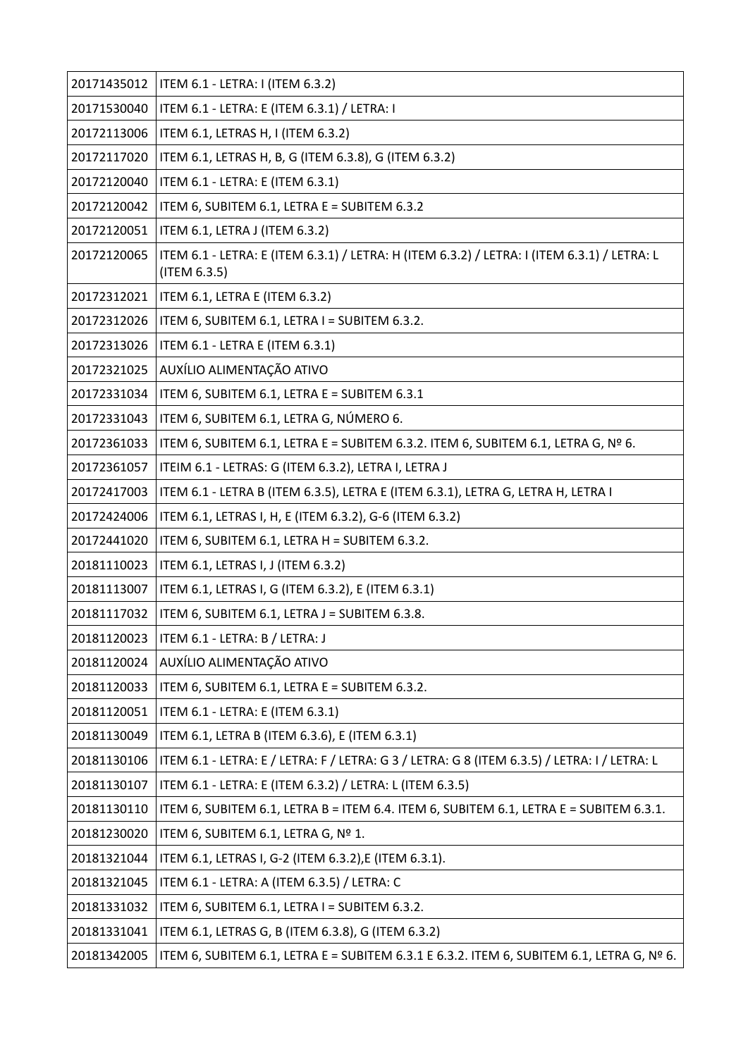| 20171435012 | ITEM 6.1 - LETRA: I (ITEM 6.3.2)                                                                            |
|-------------|-------------------------------------------------------------------------------------------------------------|
| 20171530040 | ITEM 6.1 - LETRA: E (ITEM 6.3.1) / LETRA: I                                                                 |
| 20172113006 | ITEM 6.1, LETRAS H, I (ITEM 6.3.2)                                                                          |
| 20172117020 | ITEM 6.1, LETRAS H, B, G (ITEM 6.3.8), G (ITEM 6.3.2)                                                       |
| 20172120040 | ITEM 6.1 - LETRA: E (ITEM 6.3.1)                                                                            |
| 20172120042 | ITEM 6, SUBITEM 6.1, LETRA E = SUBITEM 6.3.2                                                                |
| 20172120051 | ITEM 6.1, LETRA J (ITEM 6.3.2)                                                                              |
| 20172120065 | ITEM 6.1 - LETRA: E (ITEM 6.3.1) / LETRA: H (ITEM 6.3.2) / LETRA: I (ITEM 6.3.1) / LETRA: L<br>(ITEM 6.3.5) |
| 20172312021 | ITEM 6.1, LETRA E (ITEM 6.3.2)                                                                              |
| 20172312026 | ITEM 6, SUBITEM 6.1, LETRA I = SUBITEM 6.3.2.                                                               |
| 20172313026 | ITEM 6.1 - LETRA E (ITEM 6.3.1)                                                                             |
| 20172321025 | AUXÍLIO ALIMENTAÇÃO ATIVO                                                                                   |
| 20172331034 | ITEM 6, SUBITEM 6.1, LETRA E = SUBITEM 6.3.1                                                                |
| 20172331043 | ITEM 6, SUBITEM 6.1, LETRA G, NÚMERO 6.                                                                     |
| 20172361033 | ITEM 6, SUBITEM 6.1, LETRA E = SUBITEM 6.3.2. ITEM 6, SUBITEM 6.1, LETRA G, Nº 6.                           |
| 20172361057 | ITEIM 6.1 - LETRAS: G (ITEM 6.3.2), LETRA I, LETRA J                                                        |
| 20172417003 | ITEM 6.1 - LETRA B (ITEM 6.3.5), LETRA E (ITEM 6.3.1), LETRA G, LETRA H, LETRA I                            |
| 20172424006 | ITEM 6.1, LETRAS I, H, E (ITEM 6.3.2), G-6 (ITEM 6.3.2)                                                     |
| 20172441020 | ITEM 6, SUBITEM 6.1, LETRA H = SUBITEM 6.3.2.                                                               |
| 20181110023 | ITEM 6.1, LETRAS I, J (ITEM 6.3.2)                                                                          |
| 20181113007 | ITEM 6.1, LETRAS I, G (ITEM 6.3.2), E (ITEM 6.3.1)                                                          |
| 20181117032 | ITEM 6, SUBITEM 6.1, LETRA J = SUBITEM 6.3.8.                                                               |
| 20181120023 | ITEM 6.1 - LETRA: B / LETRA: J                                                                              |
| 20181120024 | AUXÍLIO ALIMENTAÇÃO ATIVO                                                                                   |
| 20181120033 | ITEM 6, SUBITEM 6.1, LETRA E = SUBITEM 6.3.2.                                                               |
| 20181120051 | ITEM 6.1 - LETRA: E (ITEM 6.3.1)                                                                            |
| 20181130049 | ITEM 6.1, LETRA B (ITEM 6.3.6), E (ITEM 6.3.1)                                                              |
| 20181130106 | ITEM 6.1 - LETRA: E / LETRA: F / LETRA: G 3 / LETRA: G 8 (ITEM 6.3.5) / LETRA: I / LETRA: L                 |
| 20181130107 | ITEM 6.1 - LETRA: E (ITEM 6.3.2) / LETRA: L (ITEM 6.3.5)                                                    |
| 20181130110 | ITEM 6, SUBITEM 6.1, LETRA B = ITEM 6.4. ITEM 6, SUBITEM 6.1, LETRA E = SUBITEM 6.3.1.                      |
| 20181230020 | ITEM 6, SUBITEM 6.1, LETRA G, Nº 1.                                                                         |
| 20181321044 | ITEM 6.1, LETRAS I, G-2 (ITEM 6.3.2), E (ITEM 6.3.1).                                                       |
| 20181321045 | ITEM 6.1 - LETRA: A (ITEM 6.3.5) / LETRA: C                                                                 |
| 20181331032 | ITEM 6, SUBITEM 6.1, LETRA I = SUBITEM 6.3.2.                                                               |
| 20181331041 | ITEM 6.1, LETRAS G, B (ITEM 6.3.8), G (ITEM 6.3.2)                                                          |
| 20181342005 | ITEM 6, SUBITEM 6.1, LETRA E = SUBITEM 6.3.1 E 6.3.2. ITEM 6, SUBITEM 6.1, LETRA G, Nº 6.                   |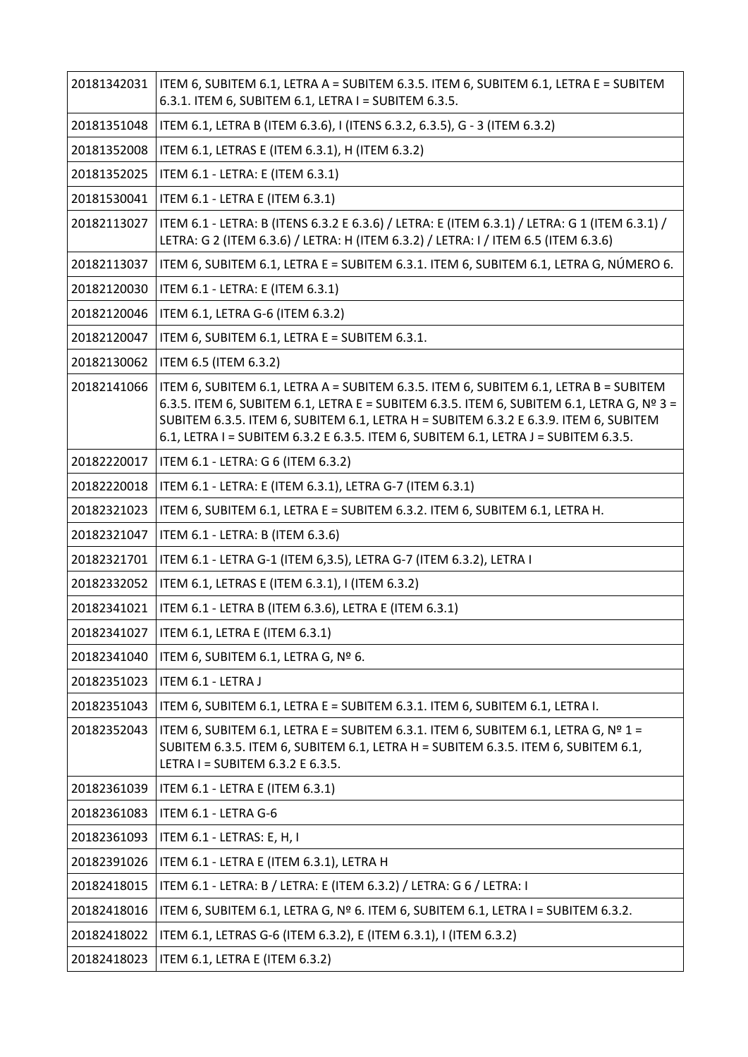| 20181342031 | ITEM 6, SUBITEM 6.1, LETRA A = SUBITEM 6.3.5. ITEM 6, SUBITEM 6.1, LETRA E = SUBITEM<br>6.3.1. ITEM 6, SUBITEM 6.1, LETRA I = SUBITEM 6.3.5.                                                                                                                                                                                                                     |
|-------------|------------------------------------------------------------------------------------------------------------------------------------------------------------------------------------------------------------------------------------------------------------------------------------------------------------------------------------------------------------------|
| 20181351048 | ITEM 6.1, LETRA B (ITEM 6.3.6), I (ITENS 6.3.2, 6.3.5), G - 3 (ITEM 6.3.2)                                                                                                                                                                                                                                                                                       |
| 20181352008 | ITEM 6.1, LETRAS E (ITEM 6.3.1), H (ITEM 6.3.2)                                                                                                                                                                                                                                                                                                                  |
| 20181352025 | ITEM 6.1 - LETRA: E (ITEM 6.3.1)                                                                                                                                                                                                                                                                                                                                 |
| 20181530041 | ITEM 6.1 - LETRA E (ITEM 6.3.1)                                                                                                                                                                                                                                                                                                                                  |
| 20182113027 | ITEM 6.1 - LETRA: B (ITENS 6.3.2 E 6.3.6) / LETRA: E (ITEM 6.3.1) / LETRA: G 1 (ITEM 6.3.1) /<br>LETRA: G 2 (ITEM 6.3.6) / LETRA: H (ITEM 6.3.2) / LETRA: I / ITEM 6.5 (ITEM 6.3.6)                                                                                                                                                                              |
| 20182113037 | ITEM 6, SUBITEM 6.1, LETRA E = SUBITEM 6.3.1. ITEM 6, SUBITEM 6.1, LETRA G, NÚMERO 6.                                                                                                                                                                                                                                                                            |
| 20182120030 | ITEM 6.1 - LETRA: E (ITEM 6.3.1)                                                                                                                                                                                                                                                                                                                                 |
| 20182120046 | ITEM 6.1, LETRA G-6 (ITEM 6.3.2)                                                                                                                                                                                                                                                                                                                                 |
| 20182120047 | ITEM 6, SUBITEM 6.1, LETRA E = SUBITEM 6.3.1.                                                                                                                                                                                                                                                                                                                    |
| 20182130062 | ITEM 6.5 (ITEM 6.3.2)                                                                                                                                                                                                                                                                                                                                            |
| 20182141066 | ITEM 6, SUBITEM 6.1, LETRA A = SUBITEM 6.3.5. ITEM 6, SUBITEM 6.1, LETRA B = SUBITEM<br>6.3.5. ITEM 6, SUBITEM 6.1, LETRA E = SUBITEM 6.3.5. ITEM 6, SUBITEM 6.1, LETRA G, Nº 3 =<br>SUBITEM 6.3.5. ITEM 6, SUBITEM 6.1, LETRA H = SUBITEM 6.3.2 E 6.3.9. ITEM 6, SUBITEM<br>6.1, LETRA I = SUBITEM 6.3.2 E 6.3.5. ITEM 6, SUBITEM 6.1, LETRA J = SUBITEM 6.3.5. |
| 20182220017 | ITEM 6.1 - LETRA: G 6 (ITEM 6.3.2)                                                                                                                                                                                                                                                                                                                               |
| 20182220018 | ITEM 6.1 - LETRA: E (ITEM 6.3.1), LETRA G-7 (ITEM 6.3.1)                                                                                                                                                                                                                                                                                                         |
| 20182321023 | ITEM 6, SUBITEM 6.1, LETRA E = SUBITEM 6.3.2. ITEM 6, SUBITEM 6.1, LETRA H.                                                                                                                                                                                                                                                                                      |
| 20182321047 | ITEM 6.1 - LETRA: B (ITEM 6.3.6)                                                                                                                                                                                                                                                                                                                                 |
| 20182321701 | ITEM 6.1 - LETRA G-1 (ITEM 6,3.5), LETRA G-7 (ITEM 6.3.2), LETRA I                                                                                                                                                                                                                                                                                               |
| 20182332052 | ITEM 6.1, LETRAS E (ITEM 6.3.1), I (ITEM 6.3.2)                                                                                                                                                                                                                                                                                                                  |
| 20182341021 | ITEM 6.1 - LETRA B (ITEM 6.3.6), LETRA E (ITEM 6.3.1)                                                                                                                                                                                                                                                                                                            |
| 20182341027 | ITEM 6.1, LETRA E (ITEM 6.3.1)                                                                                                                                                                                                                                                                                                                                   |
| 20182341040 | ITEM 6, SUBITEM 6.1, LETRA G, Nº 6.                                                                                                                                                                                                                                                                                                                              |
| 20182351023 | ITEM 6.1 - LETRA J                                                                                                                                                                                                                                                                                                                                               |
| 20182351043 | ITEM 6, SUBITEM 6.1, LETRA E = SUBITEM 6.3.1. ITEM 6, SUBITEM 6.1, LETRA I.                                                                                                                                                                                                                                                                                      |
| 20182352043 | ITEM 6, SUBITEM 6.1, LETRA E = SUBITEM 6.3.1. ITEM 6, SUBITEM 6.1, LETRA G, Nº 1 =<br>SUBITEM 6.3.5. ITEM 6, SUBITEM 6.1, LETRA H = SUBITEM 6.3.5. ITEM 6, SUBITEM 6.1,<br>LETRA I = SUBITEM 6.3.2 E 6.3.5.                                                                                                                                                      |
| 20182361039 | ITEM 6.1 - LETRA E (ITEM 6.3.1)                                                                                                                                                                                                                                                                                                                                  |
| 20182361083 | ITEM 6.1 - LETRA G-6                                                                                                                                                                                                                                                                                                                                             |
| 20182361093 | ITEM 6.1 - LETRAS: E, H, I                                                                                                                                                                                                                                                                                                                                       |
| 20182391026 | ITEM 6.1 - LETRA E (ITEM 6.3.1), LETRA H                                                                                                                                                                                                                                                                                                                         |
| 20182418015 | ITEM 6.1 - LETRA: B / LETRA: E (ITEM 6.3.2) / LETRA: G 6 / LETRA: I                                                                                                                                                                                                                                                                                              |
| 20182418016 | ITEM 6, SUBITEM 6.1, LETRA G, Nº 6. ITEM 6, SUBITEM 6.1, LETRA I = SUBITEM 6.3.2.                                                                                                                                                                                                                                                                                |
| 20182418022 | ITEM 6.1, LETRAS G-6 (ITEM 6.3.2), E (ITEM 6.3.1), I (ITEM 6.3.2)                                                                                                                                                                                                                                                                                                |
| 20182418023 | ITEM 6.1, LETRA E (ITEM 6.3.2)                                                                                                                                                                                                                                                                                                                                   |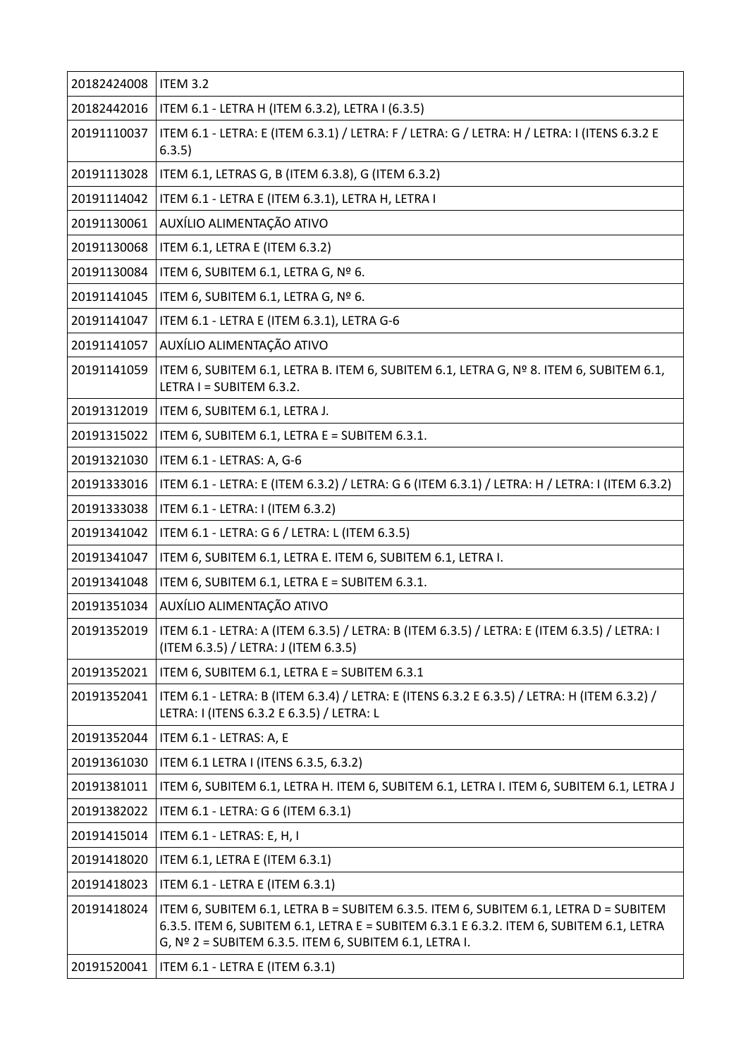| 20182424008 | <b>ITEM 3.2</b>                                                                                                                                                                                                                             |
|-------------|---------------------------------------------------------------------------------------------------------------------------------------------------------------------------------------------------------------------------------------------|
| 20182442016 | ITEM 6.1 - LETRA H (ITEM 6.3.2), LETRA I (6.3.5)                                                                                                                                                                                            |
| 20191110037 | ITEM 6.1 - LETRA: E (ITEM 6.3.1) / LETRA: F / LETRA: G / LETRA: H / LETRA: I (ITENS 6.3.2 E<br>6.3.5)                                                                                                                                       |
| 20191113028 | ITEM 6.1, LETRAS G, B (ITEM 6.3.8), G (ITEM 6.3.2)                                                                                                                                                                                          |
| 20191114042 | ITEM 6.1 - LETRA E (ITEM 6.3.1), LETRA H, LETRA I                                                                                                                                                                                           |
| 20191130061 | AUXÍLIO ALIMENTAÇÃO ATIVO                                                                                                                                                                                                                   |
| 20191130068 | ITEM 6.1, LETRA E (ITEM 6.3.2)                                                                                                                                                                                                              |
| 20191130084 | ITEM 6, SUBITEM 6.1, LETRA G, Nº 6.                                                                                                                                                                                                         |
| 20191141045 | ITEM 6, SUBITEM 6.1, LETRA G, Nº 6.                                                                                                                                                                                                         |
| 20191141047 | ITEM 6.1 - LETRA E (ITEM 6.3.1), LETRA G-6                                                                                                                                                                                                  |
| 20191141057 | AUXÍLIO ALIMENTAÇÃO ATIVO                                                                                                                                                                                                                   |
| 20191141059 | ITEM 6, SUBITEM 6.1, LETRA B. ITEM 6, SUBITEM 6.1, LETRA G, Nº 8. ITEM 6, SUBITEM 6.1,<br>LETRA I = SUBITEM 6.3.2.                                                                                                                          |
| 20191312019 | ITEM 6, SUBITEM 6.1, LETRA J.                                                                                                                                                                                                               |
| 20191315022 | ITEM 6, SUBITEM 6.1, LETRA E = SUBITEM 6.3.1.                                                                                                                                                                                               |
| 20191321030 | ITEM 6.1 - LETRAS: A, G-6                                                                                                                                                                                                                   |
| 20191333016 | ITEM 6.1 - LETRA: E (ITEM 6.3.2) / LETRA: G 6 (ITEM 6.3.1) / LETRA: H / LETRA: I (ITEM 6.3.2)                                                                                                                                               |
| 20191333038 | ITEM 6.1 - LETRA: I (ITEM 6.3.2)                                                                                                                                                                                                            |
| 20191341042 | ITEM 6.1 - LETRA: G 6 / LETRA: L (ITEM 6.3.5)                                                                                                                                                                                               |
| 20191341047 | ITEM 6, SUBITEM 6.1, LETRA E. ITEM 6, SUBITEM 6.1, LETRA I.                                                                                                                                                                                 |
| 20191341048 | ITEM 6, SUBITEM 6.1, LETRA E = SUBITEM 6.3.1.                                                                                                                                                                                               |
| 20191351034 | AUXÍLIO ALIMENTAÇÃO ATIVO                                                                                                                                                                                                                   |
| 20191352019 | ITEM 6.1 - LETRA: A (ITEM 6.3.5) / LETRA: B (ITEM 6.3.5) / LETRA: E (ITEM 6.3.5) / LETRA: I<br>(ITEM 6.3.5) / LETRA: J (ITEM 6.3.5)                                                                                                         |
| 20191352021 | ITEM 6, SUBITEM 6.1, LETRA E = SUBITEM 6.3.1                                                                                                                                                                                                |
| 20191352041 | ITEM 6.1 - LETRA: B (ITEM 6.3.4) / LETRA: E (ITENS 6.3.2 E 6.3.5) / LETRA: H (ITEM 6.3.2) /<br>LETRA: I (ITENS 6.3.2 E 6.3.5) / LETRA: L                                                                                                    |
| 20191352044 | ITEM 6.1 - LETRAS: A, E                                                                                                                                                                                                                     |
| 20191361030 | ITEM 6.1 LETRA I (ITENS 6.3.5, 6.3.2)                                                                                                                                                                                                       |
| 20191381011 | ITEM 6, SUBITEM 6.1, LETRA H. ITEM 6, SUBITEM 6.1, LETRA I. ITEM 6, SUBITEM 6.1, LETRA J                                                                                                                                                    |
| 20191382022 | ITEM 6.1 - LETRA: G 6 (ITEM 6.3.1)                                                                                                                                                                                                          |
| 20191415014 | ITEM 6.1 - LETRAS: E, H, I                                                                                                                                                                                                                  |
| 20191418020 | ITEM 6.1, LETRA E (ITEM 6.3.1)                                                                                                                                                                                                              |
| 20191418023 | ITEM 6.1 - LETRA E (ITEM 6.3.1)                                                                                                                                                                                                             |
| 20191418024 | ITEM 6, SUBITEM 6.1, LETRA B = SUBITEM 6.3.5. ITEM 6, SUBITEM 6.1, LETRA D = SUBITEM<br>6.3.5. ITEM 6, SUBITEM 6.1, LETRA E = SUBITEM 6.3.1 E 6.3.2. ITEM 6, SUBITEM 6.1, LETRA<br>G, $No$ 2 = SUBITEM 6.3.5. ITEM 6, SUBITEM 6.1, LETRA I. |
| 20191520041 | ITEM 6.1 - LETRA E (ITEM 6.3.1)                                                                                                                                                                                                             |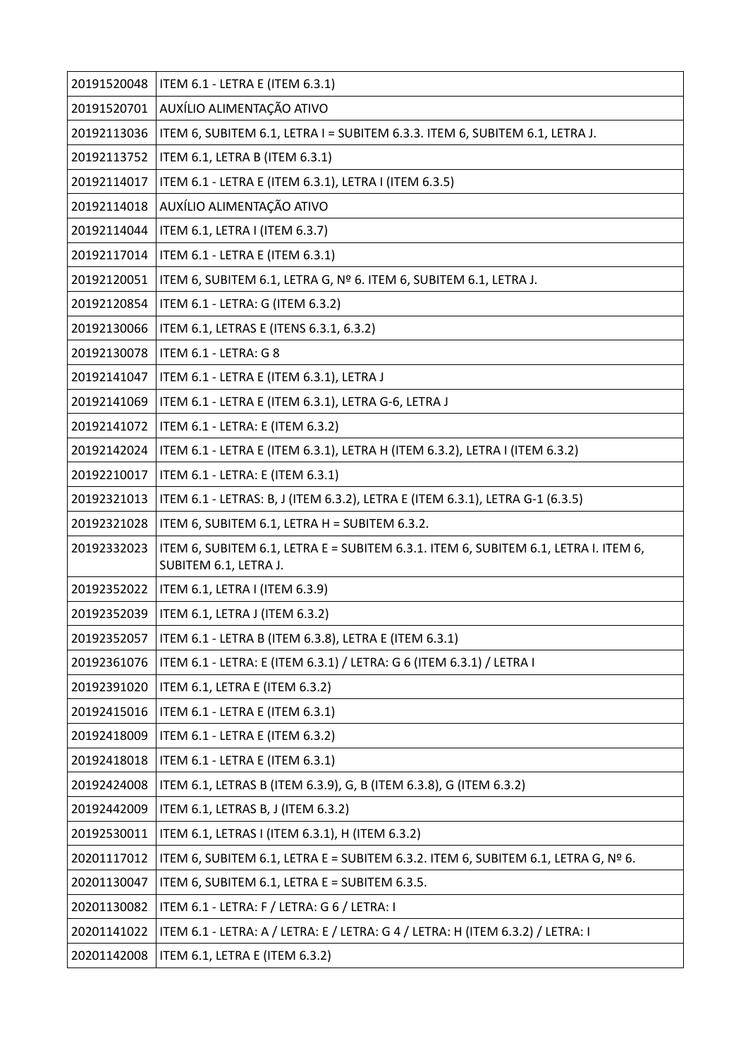| 20191520048 | ITEM 6.1 - LETRA E (ITEM 6.3.1)                                                                              |
|-------------|--------------------------------------------------------------------------------------------------------------|
| 20191520701 | AUXÍLIO ALIMENTAÇÃO ATIVO                                                                                    |
| 20192113036 | ITEM 6, SUBITEM 6.1, LETRA I = SUBITEM 6.3.3. ITEM 6, SUBITEM 6.1, LETRA J.                                  |
| 20192113752 | ITEM 6.1, LETRA B (ITEM 6.3.1)                                                                               |
| 20192114017 | ITEM 6.1 - LETRA E (ITEM 6.3.1), LETRA I (ITEM 6.3.5)                                                        |
| 20192114018 | AUXÍLIO ALIMENTAÇÃO ATIVO                                                                                    |
| 20192114044 | ITEM 6.1, LETRA I (ITEM 6.3.7)                                                                               |
| 20192117014 | ITEM 6.1 - LETRA E (ITEM 6.3.1)                                                                              |
| 20192120051 | ITEM 6, SUBITEM 6.1, LETRA G, Nº 6. ITEM 6, SUBITEM 6.1, LETRA J.                                            |
| 20192120854 | ITEM 6.1 - LETRA: G (ITEM 6.3.2)                                                                             |
| 20192130066 | ITEM 6.1, LETRAS E (ITENS 6.3.1, 6.3.2)                                                                      |
| 20192130078 | ITEM 6.1 - LETRA: G 8                                                                                        |
| 20192141047 | ITEM 6.1 - LETRA E (ITEM 6.3.1), LETRA J                                                                     |
| 20192141069 | ITEM 6.1 - LETRA E (ITEM 6.3.1), LETRA G-6, LETRA J                                                          |
| 20192141072 | ITEM 6.1 - LETRA: E (ITEM 6.3.2)                                                                             |
| 20192142024 | ITEM 6.1 - LETRA E (ITEM 6.3.1), LETRA H (ITEM 6.3.2), LETRA I (ITEM 6.3.2)                                  |
| 20192210017 | ITEM 6.1 - LETRA: E (ITEM 6.3.1)                                                                             |
| 20192321013 | ITEM 6.1 - LETRAS: B, J (ITEM 6.3.2), LETRA E (ITEM 6.3.1), LETRA G-1 (6.3.5)                                |
| 20192321028 | ITEM 6, SUBITEM 6.1, LETRA H = SUBITEM 6.3.2.                                                                |
| 20192332023 | ITEM 6, SUBITEM 6.1, LETRA E = SUBITEM 6.3.1. ITEM 6, SUBITEM 6.1, LETRA I. ITEM 6,<br>SUBITEM 6.1, LETRA J. |
| 20192352022 | ITEM 6.1, LETRA I (ITEM 6.3.9)                                                                               |
| 20192352039 | ITEM 6.1, LETRA J (ITEM 6.3.2)                                                                               |
| 20192352057 | ITEM 6.1 - LETRA B (ITEM 6.3.8), LETRA E (ITEM 6.3.1)                                                        |
| 20192361076 | ITEM 6.1 - LETRA: E (ITEM 6.3.1) / LETRA: G 6 (ITEM 6.3.1) / LETRA I                                         |
| 20192391020 | ITEM 6.1, LETRA E (ITEM 6.3.2)                                                                               |
| 20192415016 | ITEM 6.1 - LETRA E (ITEM 6.3.1)                                                                              |
| 20192418009 | ITEM 6.1 - LETRA E (ITEM 6.3.2)                                                                              |
| 20192418018 | ITEM 6.1 - LETRA E (ITEM 6.3.1)                                                                              |
| 20192424008 | ITEM 6.1, LETRAS B (ITEM 6.3.9), G, B (ITEM 6.3.8), G (ITEM 6.3.2)                                           |
| 20192442009 | ITEM 6.1, LETRAS B, J (ITEM 6.3.2)                                                                           |
| 20192530011 | ITEM 6.1, LETRAS I (ITEM 6.3.1), H (ITEM 6.3.2)                                                              |
| 20201117012 | ITEM 6, SUBITEM 6.1, LETRA E = SUBITEM 6.3.2. ITEM 6, SUBITEM 6.1, LETRA G, Nº 6.                            |
| 20201130047 | ITEM 6, SUBITEM 6.1, LETRA E = SUBITEM 6.3.5.                                                                |
| 20201130082 | ITEM 6.1 - LETRA: F / LETRA: G 6 / LETRA: I                                                                  |
| 20201141022 | ITEM 6.1 - LETRA: A / LETRA: E / LETRA: G 4 / LETRA: H (ITEM 6.3.2) / LETRA: I                               |
| 20201142008 | ITEM 6.1, LETRA E (ITEM 6.3.2)                                                                               |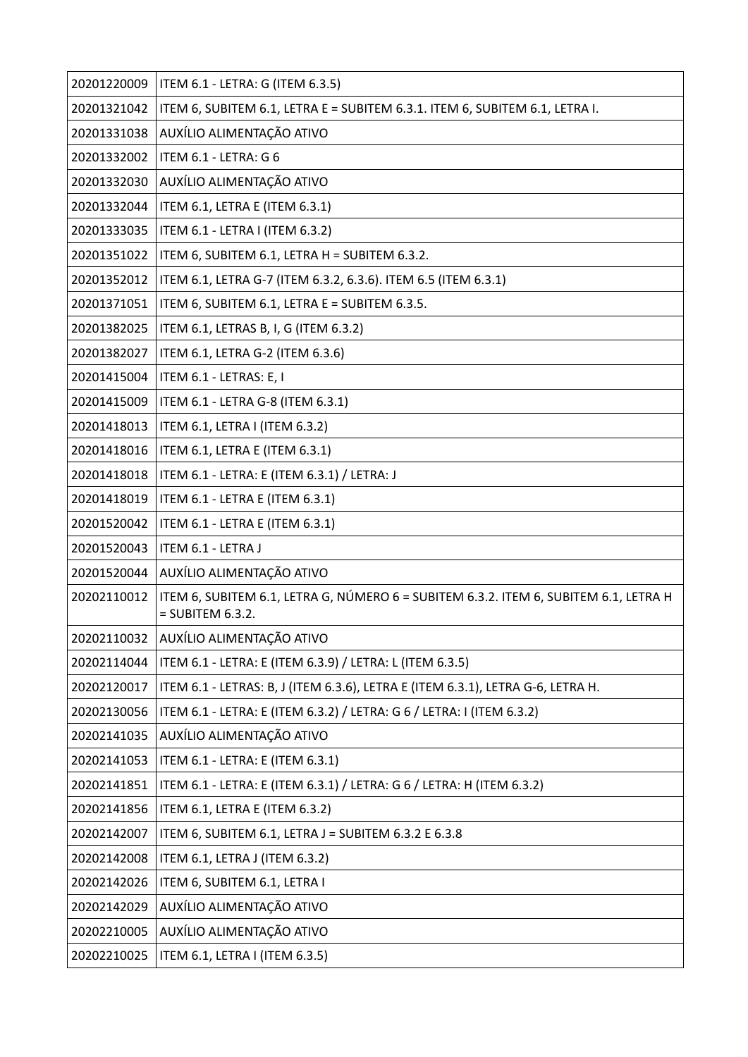| 20201220009 | ITEM 6.1 - LETRA: G (ITEM 6.3.5)                                                                           |
|-------------|------------------------------------------------------------------------------------------------------------|
| 20201321042 | ITEM 6, SUBITEM 6.1, LETRA E = SUBITEM 6.3.1. ITEM 6, SUBITEM 6.1, LETRA I.                                |
| 20201331038 | AUXÍLIO ALIMENTAÇÃO ATIVO                                                                                  |
| 20201332002 | ITEM 6.1 - LETRA: G 6                                                                                      |
| 20201332030 | AUXÍLIO ALIMENTAÇÃO ATIVO                                                                                  |
| 20201332044 | ITEM 6.1, LETRA E (ITEM 6.3.1)                                                                             |
| 20201333035 | ITEM 6.1 - LETRA I (ITEM 6.3.2)                                                                            |
| 20201351022 | ITEM 6, SUBITEM 6.1, LETRA H = SUBITEM 6.3.2.                                                              |
| 20201352012 | ITEM 6.1, LETRA G-7 (ITEM 6.3.2, 6.3.6). ITEM 6.5 (ITEM 6.3.1)                                             |
| 20201371051 | ITEM 6, SUBITEM 6.1, LETRA E = SUBITEM 6.3.5.                                                              |
| 20201382025 | ITEM 6.1, LETRAS B, I, G (ITEM 6.3.2)                                                                      |
| 20201382027 | ITEM 6.1, LETRA G-2 (ITEM 6.3.6)                                                                           |
| 20201415004 | ITEM 6.1 - LETRAS: E, I                                                                                    |
| 20201415009 | ITEM 6.1 - LETRA G-8 (ITEM 6.3.1)                                                                          |
| 20201418013 | ITEM 6.1, LETRA I (ITEM 6.3.2)                                                                             |
| 20201418016 | ITEM 6.1, LETRA E (ITEM 6.3.1)                                                                             |
| 20201418018 | ITEM 6.1 - LETRA: E (ITEM 6.3.1) / LETRA: J                                                                |
| 20201418019 | ITEM 6.1 - LETRA E (ITEM 6.3.1)                                                                            |
| 20201520042 | ITEM 6.1 - LETRA E (ITEM 6.3.1)                                                                            |
| 20201520043 | ITEM 6.1 - LETRA J                                                                                         |
| 20201520044 | AUXÍLIO ALIMENTAÇÃO ATIVO                                                                                  |
| 20202110012 | ITEM 6, SUBITEM 6.1, LETRA G, NÚMERO 6 = SUBITEM 6.3.2. ITEM 6, SUBITEM 6.1, LETRA H<br>$=$ SUBITEM 6.3.2. |
| 20202110032 | AUXÍLIO ALIMENTAÇÃO ATIVO                                                                                  |
| 20202114044 | ITEM 6.1 - LETRA: E (ITEM 6.3.9) / LETRA: L (ITEM 6.3.5)                                                   |
| 20202120017 | ITEM 6.1 - LETRAS: B, J (ITEM 6.3.6), LETRA E (ITEM 6.3.1), LETRA G-6, LETRA H.                            |
| 20202130056 | ITEM 6.1 - LETRA: E (ITEM 6.3.2) / LETRA: G 6 / LETRA: I (ITEM 6.3.2)                                      |
| 20202141035 | AUXÍLIO ALIMENTAÇÃO ATIVO                                                                                  |
| 20202141053 | ITEM 6.1 - LETRA: E (ITEM 6.3.1)                                                                           |
| 20202141851 | ITEM 6.1 - LETRA: E (ITEM 6.3.1) / LETRA: G 6 / LETRA: H (ITEM 6.3.2)                                      |
| 20202141856 | ITEM 6.1, LETRA E (ITEM 6.3.2)                                                                             |
| 20202142007 | ITEM 6, SUBITEM 6.1, LETRA J = SUBITEM 6.3.2 E 6.3.8                                                       |
| 20202142008 | ITEM 6.1, LETRA J (ITEM 6.3.2)                                                                             |
| 20202142026 | ITEM 6, SUBITEM 6.1, LETRA I                                                                               |
| 20202142029 | AUXÍLIO ALIMENTAÇÃO ATIVO                                                                                  |
| 20202210005 | AUXÍLIO ALIMENTAÇÃO ATIVO                                                                                  |
| 20202210025 | ITEM 6.1, LETRA I (ITEM 6.3.5)                                                                             |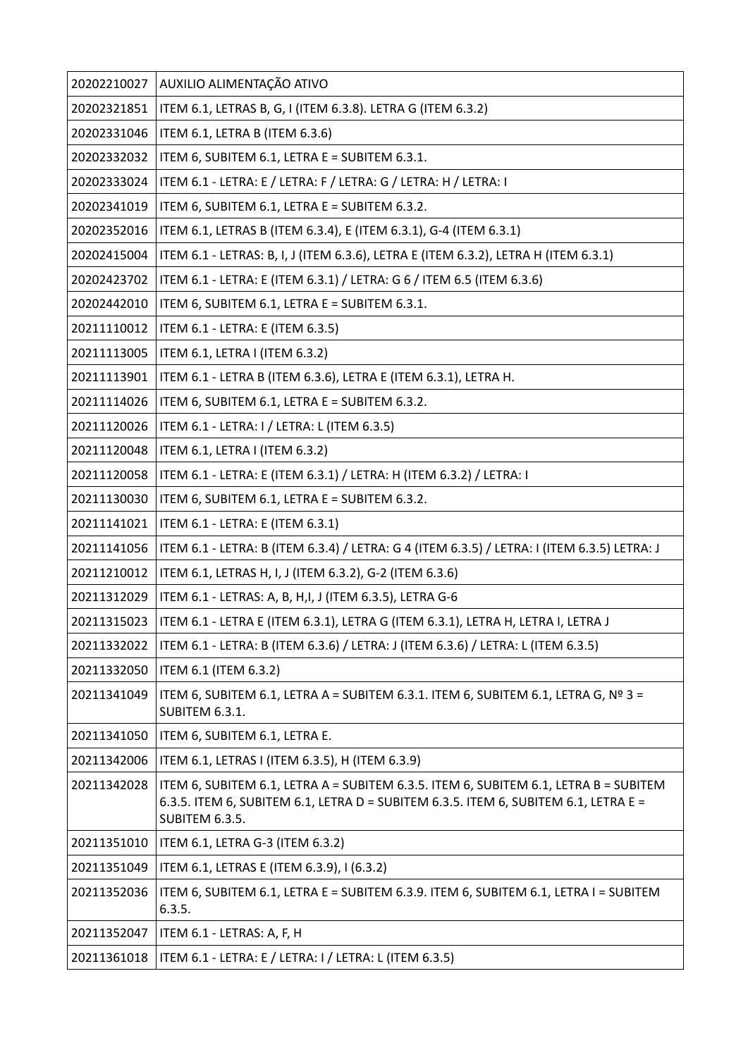| 20202210027 | AUXILIO ALIMENTAÇÃO ATIVO                                                                                                                                                                     |
|-------------|-----------------------------------------------------------------------------------------------------------------------------------------------------------------------------------------------|
| 20202321851 | ITEM 6.1, LETRAS B, G, I (ITEM 6.3.8). LETRA G (ITEM 6.3.2)                                                                                                                                   |
| 20202331046 | ITEM 6.1, LETRA B (ITEM 6.3.6)                                                                                                                                                                |
| 20202332032 | ITEM 6, SUBITEM 6.1, LETRA E = SUBITEM 6.3.1.                                                                                                                                                 |
| 20202333024 | ITEM 6.1 - LETRA: E / LETRA: F / LETRA: G / LETRA: H / LETRA: I                                                                                                                               |
| 20202341019 | ITEM 6, SUBITEM 6.1, LETRA E = SUBITEM 6.3.2.                                                                                                                                                 |
| 20202352016 | ITEM 6.1, LETRAS B (ITEM 6.3.4), E (ITEM 6.3.1), G-4 (ITEM 6.3.1)                                                                                                                             |
| 20202415004 | ITEM 6.1 - LETRAS: B, I, J (ITEM 6.3.6), LETRA E (ITEM 6.3.2), LETRA H (ITEM 6.3.1)                                                                                                           |
| 20202423702 | ITEM 6.1 - LETRA: E (ITEM 6.3.1) / LETRA: G 6 / ITEM 6.5 (ITEM 6.3.6)                                                                                                                         |
| 20202442010 | ITEM 6, SUBITEM 6.1, LETRA E = SUBITEM 6.3.1.                                                                                                                                                 |
| 20211110012 | ITEM 6.1 - LETRA: E (ITEM 6.3.5)                                                                                                                                                              |
| 20211113005 | ITEM 6.1, LETRA I (ITEM 6.3.2)                                                                                                                                                                |
| 20211113901 | ITEM 6.1 - LETRA B (ITEM 6.3.6), LETRA E (ITEM 6.3.1), LETRA H.                                                                                                                               |
| 20211114026 | ITEM 6, SUBITEM 6.1, LETRA E = SUBITEM 6.3.2.                                                                                                                                                 |
| 20211120026 | ITEM 6.1 - LETRA: I / LETRA: L (ITEM 6.3.5)                                                                                                                                                   |
| 20211120048 | ITEM 6.1, LETRA I (ITEM 6.3.2)                                                                                                                                                                |
| 20211120058 | ITEM 6.1 - LETRA: E (ITEM 6.3.1) / LETRA: H (ITEM 6.3.2) / LETRA: I                                                                                                                           |
| 20211130030 | ITEM 6, SUBITEM 6.1, LETRA E = SUBITEM 6.3.2.                                                                                                                                                 |
| 20211141021 | ITEM 6.1 - LETRA: E (ITEM 6.3.1)                                                                                                                                                              |
| 20211141056 | ITEM 6.1 - LETRA: B (ITEM 6.3.4) / LETRA: G 4 (ITEM 6.3.5) / LETRA: I (ITEM 6.3.5) LETRA: J                                                                                                   |
| 20211210012 | ITEM 6.1, LETRAS H, I, J (ITEM 6.3.2), G-2 (ITEM 6.3.6)                                                                                                                                       |
| 20211312029 | ITEM 6.1 - LETRAS: A, B, H,I, J (ITEM 6.3.5), LETRA G-6                                                                                                                                       |
| 20211315023 | ITEM 6.1 - LETRA E (ITEM 6.3.1), LETRA G (ITEM 6.3.1), LETRA H, LETRA I, LETRA J                                                                                                              |
| 20211332022 | ITEM 6.1 - LETRA: B (ITEM 6.3.6) / LETRA: J (ITEM 6.3.6) / LETRA: L (ITEM 6.3.5)                                                                                                              |
| 20211332050 | ITEM 6.1 (ITEM 6.3.2)                                                                                                                                                                         |
| 20211341049 | ITEM 6, SUBITEM 6.1, LETRA A = SUBITEM 6.3.1. ITEM 6, SUBITEM 6.1, LETRA G, $N^{\circ}$ 3 =<br>SUBITEM 6.3.1.                                                                                 |
| 20211341050 | ITEM 6, SUBITEM 6.1, LETRA E.                                                                                                                                                                 |
| 20211342006 | ITEM 6.1, LETRAS I (ITEM 6.3.5), H (ITEM 6.3.9)                                                                                                                                               |
| 20211342028 | ITEM 6, SUBITEM 6.1, LETRA A = SUBITEM 6.3.5. ITEM 6, SUBITEM 6.1, LETRA B = SUBITEM<br>6.3.5. ITEM 6, SUBITEM 6.1, LETRA D = SUBITEM 6.3.5. ITEM 6, SUBITEM 6.1, LETRA E =<br>SUBITEM 6.3.5. |
| 20211351010 | ITEM 6.1, LETRA G-3 (ITEM 6.3.2)                                                                                                                                                              |
| 20211351049 | ITEM 6.1, LETRAS E (ITEM 6.3.9), I (6.3.2)                                                                                                                                                    |
| 20211352036 | ITEM 6, SUBITEM 6.1, LETRA E = SUBITEM 6.3.9. ITEM 6, SUBITEM 6.1, LETRA I = SUBITEM<br>6.3.5.                                                                                                |
| 20211352047 | ITEM 6.1 - LETRAS: A, F, H                                                                                                                                                                    |
| 20211361018 | ITEM 6.1 - LETRA: E / LETRA: I / LETRA: L (ITEM 6.3.5)                                                                                                                                        |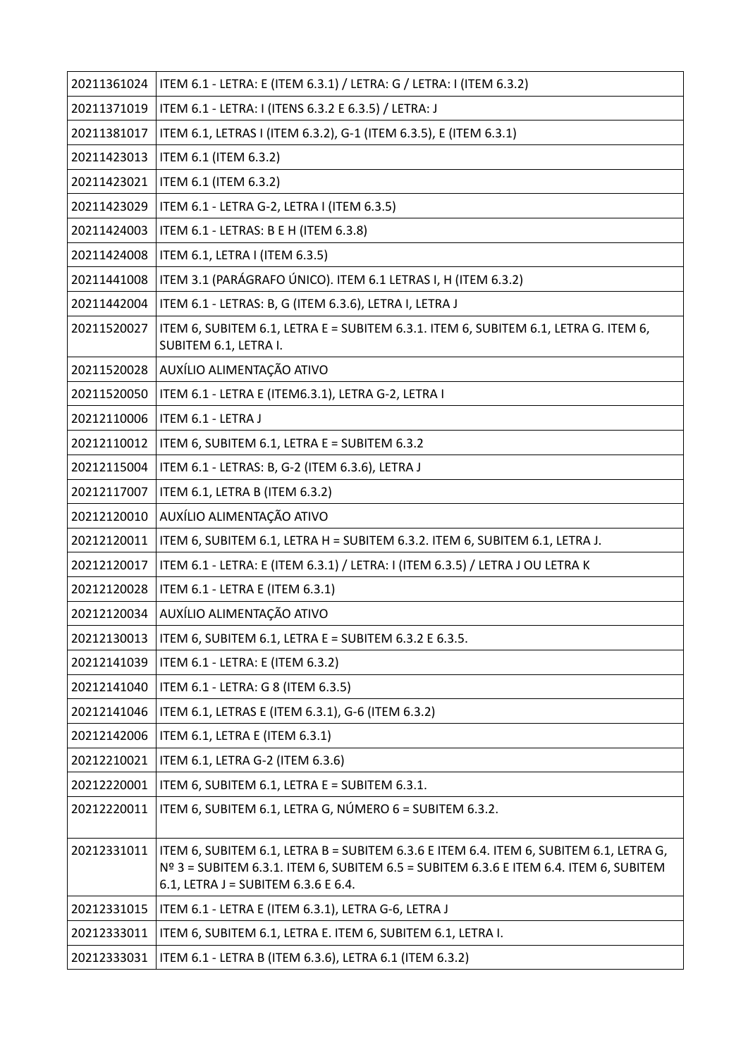| 20211361024 | ITEM 6.1 - LETRA: E (ITEM 6.3.1) / LETRA: G / LETRA: I (ITEM 6.3.2)                                                                                                                                                      |
|-------------|--------------------------------------------------------------------------------------------------------------------------------------------------------------------------------------------------------------------------|
| 20211371019 | ITEM 6.1 - LETRA: I (ITENS 6.3.2 E 6.3.5) / LETRA: J                                                                                                                                                                     |
| 20211381017 | ITEM 6.1, LETRAS I (ITEM 6.3.2), G-1 (ITEM 6.3.5), E (ITEM 6.3.1)                                                                                                                                                        |
| 20211423013 | ITEM 6.1 (ITEM 6.3.2)                                                                                                                                                                                                    |
| 20211423021 | ITEM 6.1 (ITEM 6.3.2)                                                                                                                                                                                                    |
| 20211423029 | ITEM 6.1 - LETRA G-2, LETRA I (ITEM 6.3.5)                                                                                                                                                                               |
| 20211424003 | ITEM 6.1 - LETRAS: B E H (ITEM 6.3.8)                                                                                                                                                                                    |
| 20211424008 | ITEM 6.1, LETRA I (ITEM 6.3.5)                                                                                                                                                                                           |
| 20211441008 | ITEM 3.1 (PARÁGRAFO ÚNICO). ITEM 6.1 LETRAS I, H (ITEM 6.3.2)                                                                                                                                                            |
| 20211442004 | ITEM 6.1 - LETRAS: B, G (ITEM 6.3.6), LETRA I, LETRA J                                                                                                                                                                   |
| 20211520027 | ITEM 6, SUBITEM 6.1, LETRA E = SUBITEM 6.3.1. ITEM 6, SUBITEM 6.1, LETRA G. ITEM 6,<br>SUBITEM 6.1, LETRA I.                                                                                                             |
| 20211520028 | AUXÍLIO ALIMENTAÇÃO ATIVO                                                                                                                                                                                                |
| 20211520050 | ITEM 6.1 - LETRA E (ITEM6.3.1), LETRA G-2, LETRA I                                                                                                                                                                       |
| 20212110006 | ITEM 6.1 - LETRA J                                                                                                                                                                                                       |
| 20212110012 | ITEM 6, SUBITEM 6.1, LETRA E = SUBITEM 6.3.2                                                                                                                                                                             |
| 20212115004 | ITEM 6.1 - LETRAS: B, G-2 (ITEM 6.3.6), LETRA J                                                                                                                                                                          |
| 20212117007 | ITEM 6.1, LETRA B (ITEM 6.3.2)                                                                                                                                                                                           |
| 20212120010 | AUXÍLIO ALIMENTAÇÃO ATIVO                                                                                                                                                                                                |
| 20212120011 | ITEM 6, SUBITEM 6.1, LETRA H = SUBITEM 6.3.2. ITEM 6, SUBITEM 6.1, LETRA J.                                                                                                                                              |
| 20212120017 | ITEM 6.1 - LETRA: E (ITEM 6.3.1) / LETRA: I (ITEM 6.3.5) / LETRA J OU LETRA K                                                                                                                                            |
| 20212120028 | ITEM 6.1 - LETRA E (ITEM 6.3.1)                                                                                                                                                                                          |
| 20212120034 | AUXÍLIO ALIMENTAÇÃO ATIVO                                                                                                                                                                                                |
| 20212130013 | ITEM 6, SUBITEM 6.1, LETRA E = SUBITEM 6.3.2 E 6.3.5.                                                                                                                                                                    |
| 20212141039 | ITEM 6.1 - LETRA: E (ITEM 6.3.2)                                                                                                                                                                                         |
| 20212141040 | ITEM 6.1 - LETRA: G 8 (ITEM 6.3.5)                                                                                                                                                                                       |
| 20212141046 | ITEM 6.1, LETRAS E (ITEM 6.3.1), G-6 (ITEM 6.3.2)                                                                                                                                                                        |
| 20212142006 | ITEM 6.1, LETRA E (ITEM 6.3.1)                                                                                                                                                                                           |
| 20212210021 | ITEM 6.1, LETRA G-2 (ITEM 6.3.6)                                                                                                                                                                                         |
| 20212220001 | ITEM 6, SUBITEM 6.1, LETRA E = SUBITEM 6.3.1.                                                                                                                                                                            |
| 20212220011 | ITEM 6, SUBITEM 6.1, LETRA G, NÚMERO 6 = SUBITEM 6.3.2.                                                                                                                                                                  |
| 20212331011 | ITEM 6, SUBITEM 6.1, LETRA B = SUBITEM 6.3.6 E ITEM 6.4. ITEM 6, SUBITEM 6.1, LETRA G,<br>$N2$ 3 = SUBITEM 6.3.1. ITEM 6, SUBITEM 6.5 = SUBITEM 6.3.6 E ITEM 6.4. ITEM 6, SUBITEM<br>6.1, LETRA J = SUBITEM 6.3.6 E 6.4. |
| 20212331015 | ITEM 6.1 - LETRA E (ITEM 6.3.1), LETRA G-6, LETRA J                                                                                                                                                                      |
| 20212333011 | ITEM 6, SUBITEM 6.1, LETRA E. ITEM 6, SUBITEM 6.1, LETRA I.                                                                                                                                                              |
| 20212333031 | ITEM 6.1 - LETRA B (ITEM 6.3.6), LETRA 6.1 (ITEM 6.3.2)                                                                                                                                                                  |